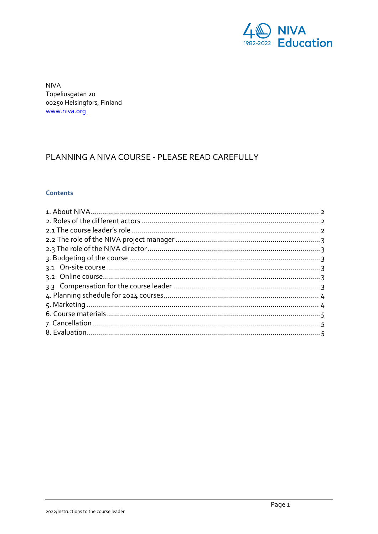

**NIVA** Topeliusgatan 20 00250 Helsingfors, Finland www.niva.org

# PLANNING A NIVA COURSE - PLEASE READ CAREFULLY

# **Contents**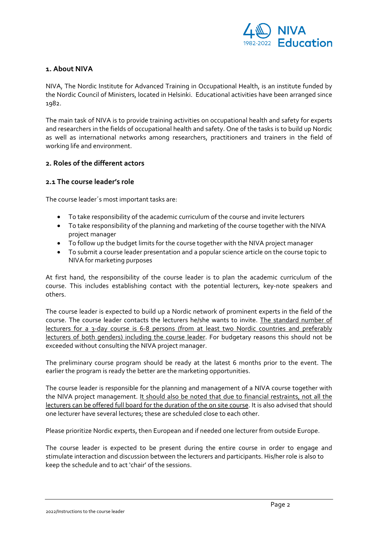

# <span id="page-1-0"></span>**1. About NIVA**

NIVA, The Nordic Institute for Advanced Training in Occupational Health, is an institute funded by the Nordic Council of Ministers, located in Helsinki. Educational activities have been arranged since 1982.

The main task of NIVA is to provide training activities on occupational health and safety for experts and researchers in the fields of occupational health and safety. One of the tasks is to build up Nordic as well as international networks among researchers, practitioners and trainers in the field of working life and environment.

# <span id="page-1-1"></span>**2. Roles of the different actors**

#### <span id="page-1-2"></span>**2.1 The course leader's role**

The course leader´s most important tasks are:

- To take responsibility of the academic curriculum of the course and invite lecturers
- To take responsibility of the planning and marketing of the course together with the NIVA project manager
- To follow up the budget limits for the course together with the NIVA project manager
- To submit a course leader presentation and a popular science article on the course topic to NIVA for marketing purposes

At first hand, the responsibility of the course leader is to plan the academic curriculum of the course. This includes establishing contact with the potential lecturers, key-note speakers and others.

The course leader is expected to build up a Nordic network of prominent experts in the field of the course. The course leader contacts the lecturers he/she wants to invite. The standard number of lecturers for a 3-day course is 6-8 persons (from at least two Nordic countries and preferably lecturers of both genders) including the course leader. For budgetary reasons this should not be exceeded without consulting the NIVA project manager.

The preliminary course program should be ready at the latest 6 months prior to the event. The earlier the program is ready the better are the marketing opportunities.

The course leader is responsible for the planning and management of a NIVA course together with the NIVA project management. It should also be noted that due to financial restraints, not all the lecturers can be offered full board for the duration of the on site course. It is also advised that should one lecturer have several lectures; these are scheduled close to each other.

Please prioritize Nordic experts, then European and if needed one lecturer from outside Europe.

The course leader is expected to be present during the entire course in order to engage and stimulate interaction and discussion between the lecturers and participants. His/her role is also to keep the schedule and to act 'chair' of the sessions.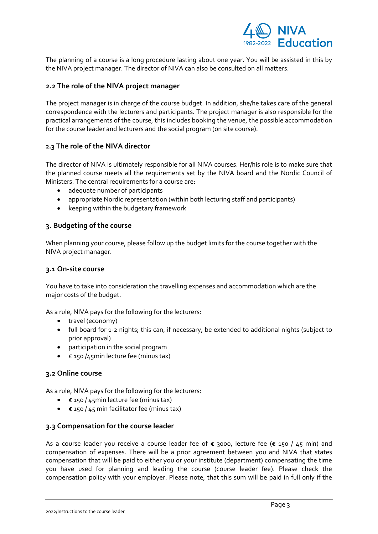

The planning of a course is a long procedure lasting about one year. You will be assisted in this by the NIVA project manager. The director of NIVA can also be consulted on all matters.

# <span id="page-2-0"></span>**2.2 The role of the NIVA project manager**

The project manager is in charge of the course budget. In addition, she/he takes care of the general correspondence with the lecturers and participants. The project manager is also responsible for the practical arrangements of the course, this includes booking the venue, the possible accommodation for the course leader and lecturers and the social program (on site course).

# <span id="page-2-1"></span>**2.3 The role of the NIVA director**

The director of NIVA is ultimately responsible for all NIVA courses. Her/his role is to make sure that the planned course meets all the requirements set by the NIVA board and the Nordic Council of Ministers. The central requirements for a course are:

- adequate number of participants
- appropriate Nordic representation (within both lecturing staff and participants)
- keeping within the budgetary framework

# <span id="page-2-2"></span>**3. Budgeting of the course**

When planning your course, please follow up the budget limits for the course together with the NIVA project manager.

# <span id="page-2-3"></span>**3.1 On-site course**

You have to take into consideration the travelling expenses and accommodation which are the major costs of the budget.

As a rule, NIVA pays for the following for the lecturers:

- travel (economy)
- full board for 1-2 nights; this can, if necessary, be extended to additional nights (subject to prior approval)
- participation in the social program
- € 150 /45min lecture fee (minus tax)

# <span id="page-2-4"></span>**3.2 Online course**

As a rule, NIVA pays for the following for the lecturers:

- € 150 / 45min lecture fee (minus tax)
- $\bullet$   $\in$  150 / 45 min facilitator fee (minus tax)

# <span id="page-2-5"></span>**3.3 Compensation for the course leader**

As a course leader you receive a course leader fee of  $\epsilon$  3000, lecture fee ( $\epsilon$  150 / 45 min) and compensation of expenses. There will be a prior agreement between you and NIVA that states compensation that will be paid to either you or your institute (department) compensating the time you have used for planning and leading the course (course leader fee). Please check the compensation policy with your employer. Please note, that this sum will be paid in full only if the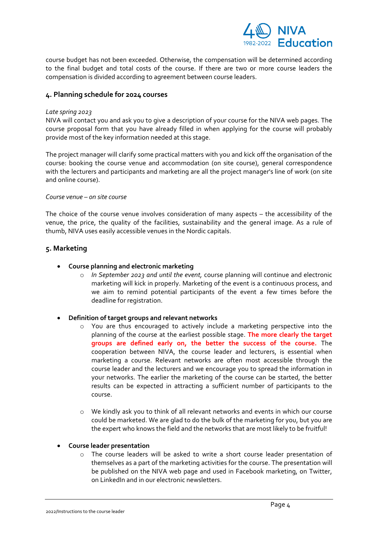

course budget has not been exceeded. Otherwise, the compensation will be determined according to the final budget and total costs of the course. If there are two or more course leaders the compensation is divided according to agreement between course leaders.

### <span id="page-3-0"></span>**4. Planning schedule for 2024 courses**

#### *Late spring 2023*

NIVA will contact you and ask you to give a description of your course for the NIVA web pages. The course proposal form that you have already filled in when applying for the course will probably provide most of the key information needed at this stage.

The project manager will clarify some practical matters with you and kick off the organisation of the course: booking the course venue and accommodation (on site course), general correspondence with the lecturers and participants and marketing are all the project manager's line of work (on site and online course).

#### *Course venue – on site course*

The choice of the course venue involves consideration of many aspects – the accessibility of the venue, the price, the quality of the facilities, sustainability and the general image. As a rule of thumb, NIVA uses easily accessible venues in the Nordic capitals.

### <span id="page-3-1"></span>**5. Marketing**

- **Course planning and electronic marketing**
	- o *In September 2023 and until the event,* course planning will continue and electronic marketing will kick in properly. Marketing of the event is a continuous process, and we aim to remind potential participants of the event a few times before the deadline for registration.

#### • **Definition of target groups and relevant networks**

- o You are thus encouraged to actively include a marketing perspective into the planning of the course at the earliest possible stage. **The more clearly the target groups are defined early on, the better the success of the course.** The cooperation between NIVA, the course leader and lecturers, is essential when marketing a course. Relevant networks are often most accessible through the course leader and the lecturers and we encourage you to spread the information in your networks. The earlier the marketing of the course can be started, the better results can be expected in attracting a sufficient number of participants to the course.
- o We kindly ask you to think of all relevant networks and events in which our course could be marketed. We are glad to do the bulk of the marketing for you, but you are the expert who knows the field and the networks that are most likely to be fruitful!
- **Course leader presentation** 
	- o The course leaders will be asked to write a short course leader presentation of themselves as a part of the marketing activities for the course. The presentation will be published on the NIVA web page and used in Facebook marketing, on Twitter, on LinkedIn and in our electronic newsletters.